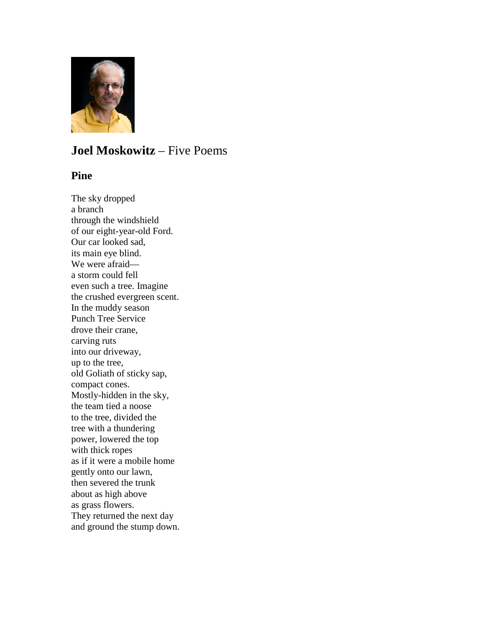

# **Joel Moskowitz** – Five Poems

### **Pine**

The sky dropped a branch through the windshield of our eight-year-old Ford. Our car looked sad, its main eye blind. We were afraid a storm could fell even such a tree. Imagine the crushed evergreen scent. In the muddy season Punch Tree Service drove their crane, carving ruts into our driveway, up to the tree, old Goliath of sticky sap, compact cones. Mostly-hidden in the sky, the team tied a noose to the tree, divided the tree with a thundering power, lowered the top with thick ropes as if it were a mobile home gently onto our lawn, then severed the trunk about as high above as grass flowers. They returned the next day and ground the stump down.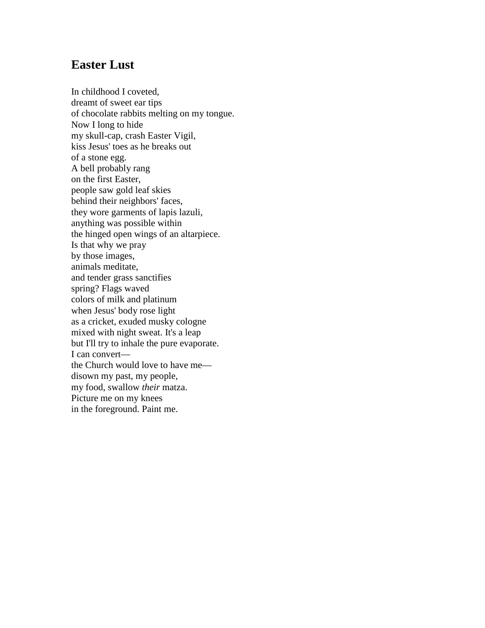# **Easter Lust**

In childhood I coveted, dreamt of sweet ear tips of chocolate rabbits melting on my tongue. Now I long to hide my skull-cap, crash Easter Vigil, kiss Jesus' toes as he breaks out of a stone egg. A bell probably rang on the first Easter, people saw gold leaf skies behind their neighbors' faces, they wore garments of lapis lazuli, anything was possible within the hinged open wings of an altarpiece. Is that why we pray by those images, animals meditate, and tender grass sanctifies spring? Flags waved colors of milk and platinum when Jesus' body rose light as a cricket, exuded musky cologne mixed with night sweat. It's a leap but I'll try to inhale the pure evaporate. I can convert–– the Church would love to have me–– disown my past, my people, my food, swallow *their* matza. Picture me on my knees in the foreground. Paint me.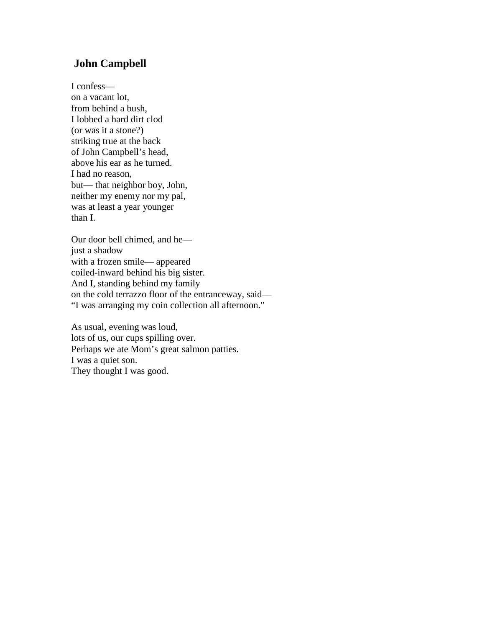## **John Campbell**

I confess–– on a vacant lot, from behind a bush, I lobbed a hard dirt clod (or was it a stone?) striking true at the back of John Campbell's head, above his ear as he turned. I had no reason, but–– that neighbor boy, John, neither my enemy nor my pal, was at least a year younger than I.

Our door bell chimed, and he–– just a shadow with a frozen smile— appeared coiled-inward behind his big sister. And I, standing behind my family on the cold terrazzo floor of the entranceway, said–– "I was arranging my coin collection all afternoon."

As usual, evening was loud, lots of us, our cups spilling over. Perhaps we ate Mom's great salmon patties. I was a quiet son. They thought I was good.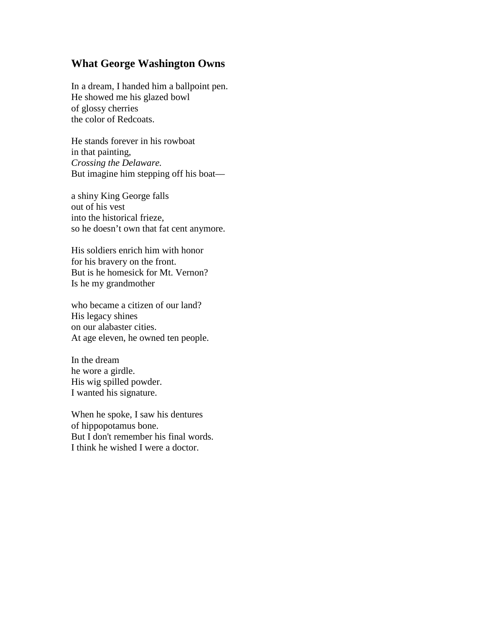### **What George Washington Owns**

In a dream, I handed him a ballpoint pen. He showed me his glazed bowl of glossy cherries the color of Redcoats.

He stands forever in his rowboat in that painting, *Crossing the Delaware.* But imagine him stepping off his boat-

a shiny King George falls out of his vest into the historical frieze, so he doesn't own that fat cent anymore.

His soldiers enrich him with honor for his bravery on the front. But is he homesick for Mt. Vernon? Is he my grandmother

who became a citizen of our land? His legacy shines on our alabaster cities. At age eleven, he owned ten people.

In the dream he wore a girdle. His wig spilled powder. I wanted his signature.

When he spoke, I saw his dentures of hippopotamus bone. But I don't remember his final words. I think he wished I were a doctor.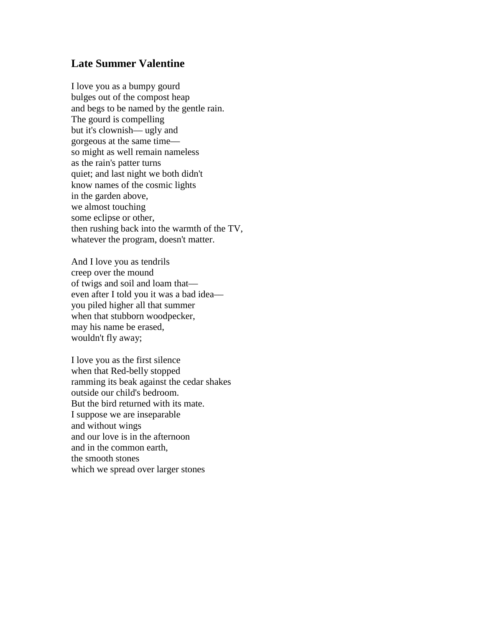#### **Late Summer Valentine**

I love you as a bumpy gourd bulges out of the compost heap and begs to be named by the gentle rain. The gourd is compelling but it's clownish— ugly and gorgeous at the same time–– so might as well remain nameless as the rain's patter turns quiet; and last night we both didn't know names of the cosmic lights in the garden above, we almost touching some eclipse or other, then rushing back into the warmth of the TV, whatever the program, doesn't matter.

And I love you as tendrils creep over the mound of twigs and soil and loam that–– even after I told you it was a bad idea–– you piled higher all that summer when that stubborn woodpecker, may his name be erased, wouldn't fly away;

I love you as the first silence when that Red-belly stopped ramming its beak against the cedar shakes outside our child's bedroom. But the bird returned with its mate. I suppose we are inseparable and without wings and our love is in the afternoon and in the common earth, the smooth stones which we spread over larger stones